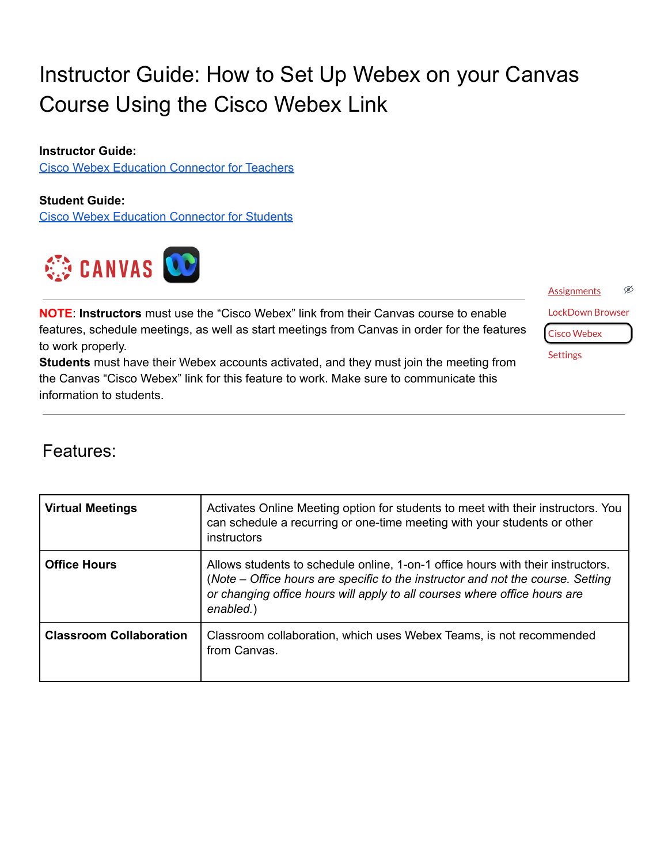# Instructor Guide: How to Set Up Webex on your Canvas Course Using the Cisco Webex Link

**Instructor Guide:**

Cisco Webex Education [Connector](https://help.webex.com/en-US/article/ngd7brv/The-Cisco-Webex-Education-Connector-for-Teachers) for Teachers

**Student Guide:**

Cisco Webex Education [Connector](https://help.webex.com/en-US/article/n7evh4t/The-Cisco-Webex-Education-Connector-for-Students) for Students



**NOTE**: **Instructors** must use the "Cisco Webex" link from their Canvas course to enable features, schedule meetings, as well as start meetings from Canvas in order for the features to work properly.

**Students** must have their Webex accounts activated, and they must join the meeting from the Canvas "Cisco Webex" link for this feature to work. Make sure to communicate this information to students.

Ø **Assignments LockDown Browser Cisco Webex** 

**Settings** 

### Features:

| <b>Virtual Meetings</b>        | Activates Online Meeting option for students to meet with their instructors. You<br>can schedule a recurring or one-time meeting with your students or other<br>instructors                                                                                  |
|--------------------------------|--------------------------------------------------------------------------------------------------------------------------------------------------------------------------------------------------------------------------------------------------------------|
| <b>Office Hours</b>            | Allows students to schedule online, 1-on-1 office hours with their instructors.<br>(Note – Office hours are specific to the instructor and not the course. Setting<br>or changing office hours will apply to all courses where office hours are<br>enabled.) |
| <b>Classroom Collaboration</b> | Classroom collaboration, which uses Webex Teams, is not recommended<br>from Canvas.                                                                                                                                                                          |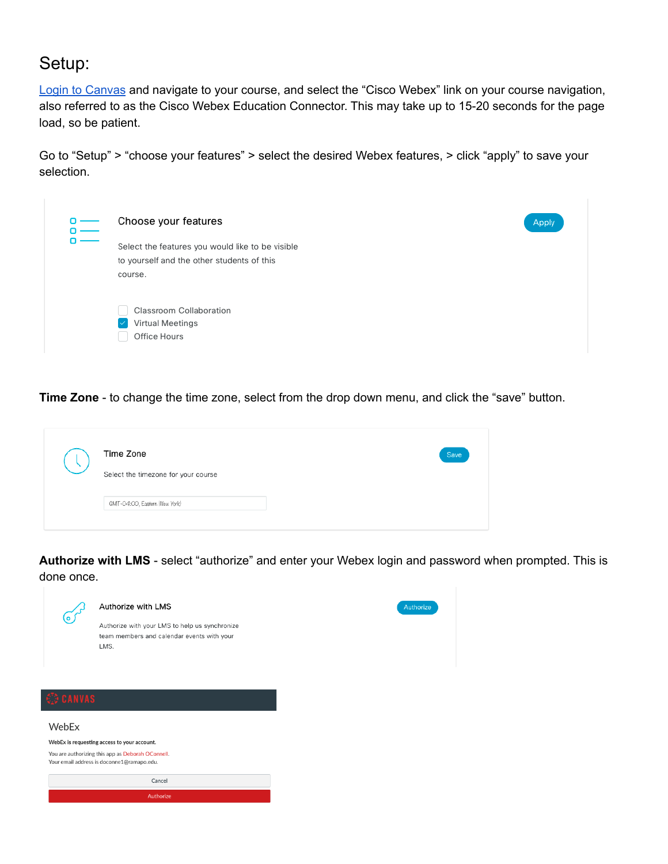### Setup:

Login to [Canvas](http://ramapo.instructure.com) and navigate to your course, and select the "Cisco Webex" link on your course navigation, also referred to as the Cisco Webex Education Connector. This may take up to 15-20 seconds for the page load, so be patient.

Go to "Setup" > "choose your features" > select the desired Webex features, > click "apply" to save your selection.

| Choose your features                             | Apply |
|--------------------------------------------------|-------|
| Select the features you would like to be visible |       |
| to yourself and the other students of this       |       |
| course.                                          |       |
|                                                  |       |
| Classroom Collaboration                          |       |
| <b>Virtual Meetings</b>                          |       |
| Office Hours                                     |       |
|                                                  |       |

**Time Zone** - to change the time zone, select from the drop down menu, and click the "save" button.

| Time Zone<br>Select the timezone for your course | Save |
|--------------------------------------------------|------|
| GMT-04:00, Eastern (New York)                    |      |

**Authorize with LMS** - select "authorize" and enter your Webex login and password when prompted. This is done once.

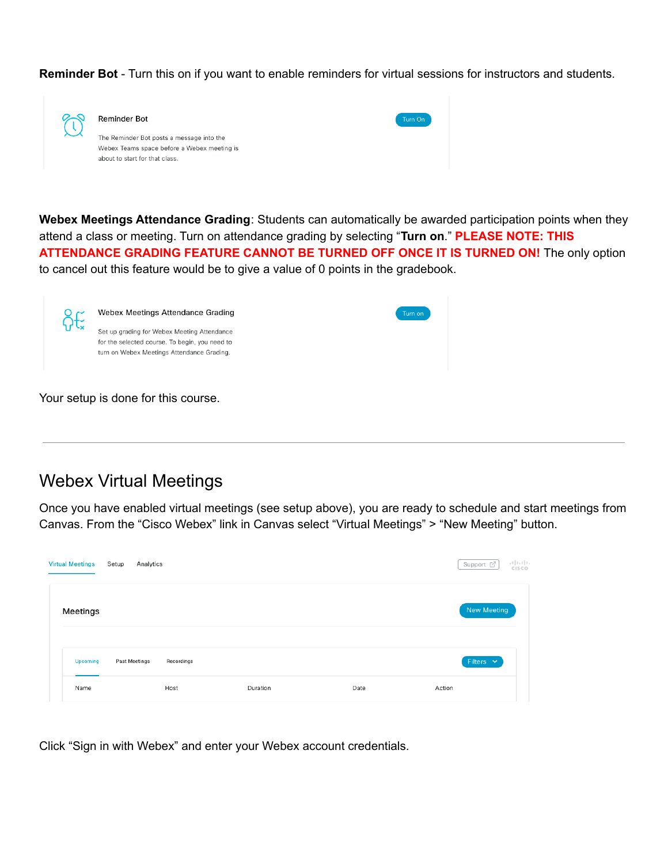**Reminder Bot** - Turn this on if you want to enable reminders for virtual sessions for instructors and students.

| <b>Reminder Bot</b>                         | Turn On |
|---------------------------------------------|---------|
| The Reminder Bot posts a message into the   |         |
| Webex Teams space before a Webex meeting is |         |
| about to start for that class.              |         |

**Webex Meetings Attendance Grading**: Students can automatically be awarded participation points when they attend a class or meeting. Turn on attendance grading by selecting "**Turn on**." **PLEASE NOTE: THIS ATTENDANCE GRADING FEATURE CANNOT BE TURNED OFF ONCE IT IS TURNED ON!** The only option to cancel out this feature would be to give a value of 0 points in the gradebook.

|  | Webex Meetings Attendance Grading                                                                                                           | Turn on |
|--|---------------------------------------------------------------------------------------------------------------------------------------------|---------|
|  | Set up grading for Webex Meeting Attendance<br>for the selected course. To begin, you need to<br>turn on Webex Meetings Attendance Grading. |         |
|  | Your setup is done for this course.                                                                                                         |         |

Webex Virtual Meetings

Once you have enabled virtual meetings (see setup above), you are ready to schedule and start meetings from Canvas. From the "Cisco Webex" link in Canvas select "Virtual Meetings" > "New Meeting" button.

| <b>Virtual Meetings</b> | Setup<br>Analytics |            |          |      | alala<br>Cisco<br>Support 子  |
|-------------------------|--------------------|------------|----------|------|------------------------------|
| Meetings                |                    |            |          |      | New Meeting                  |
| Upcoming                | Past Meetings      | Recordings |          |      | Filters $\mathbf{\check{v}}$ |
| Name                    |                    | Host       | Duration | Date | Action                       |

Click "Sign in with Webex" and enter your Webex account credentials.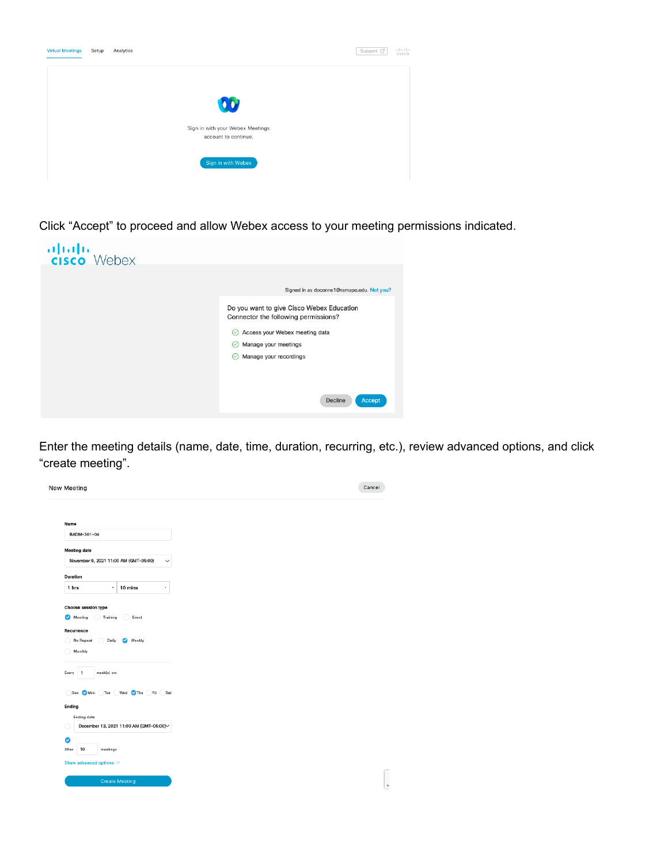| <b>Virtual Meetings</b> | Setup | Analytics                        | Support 了 | $\frac{1}{2}$ |
|-------------------------|-------|----------------------------------|-----------|---------------|
|                         |       |                                  |           |               |
|                         |       |                                  |           |               |
|                         |       |                                  |           |               |
|                         |       | $\overline{\mathbf{0}}$          |           |               |
|                         |       |                                  |           |               |
|                         |       | Sign in with your Webex Meetings |           |               |
|                         |       | account to continue.             |           |               |
|                         |       |                                  |           |               |
|                         |       |                                  |           |               |
|                         |       | Sign in with Webex               |           |               |
|                         |       |                                  |           |               |

Click "Accept" to proceed and allow Webex access to your meeting permissions indicated.



Enter the meeting details (name, date, time, duration, recurring, etc.), review advanced options, and click "create meeting".

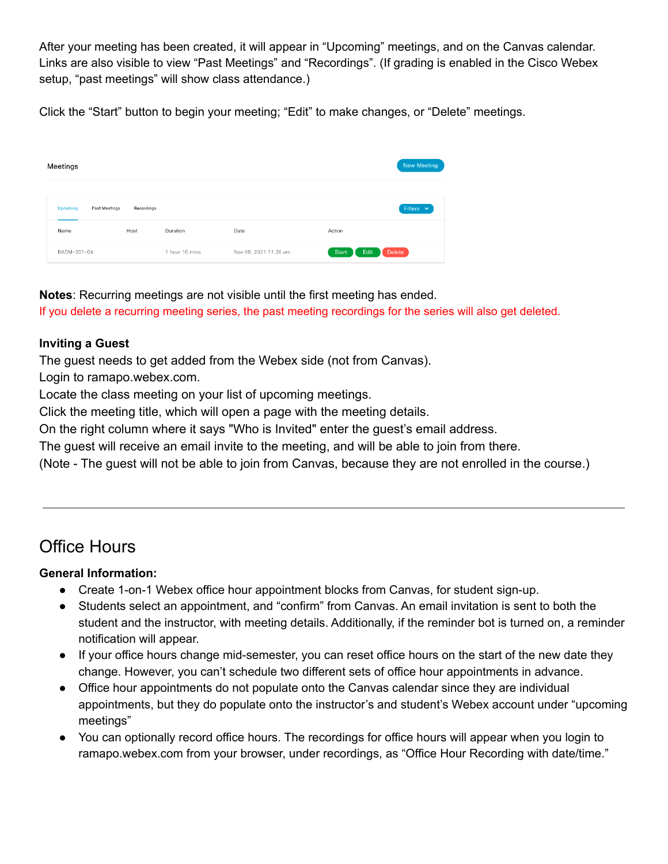After your meeting has been created, it will appear in "Upcoming" meetings, and on the Canvas calendar. Links are also visible to view "Past Meetings" and "Recordings". (If grading is enabled in the Cisco Webex setup, "past meetings" will show class attendance.)

Click the "Start" button to begin your meeting; "Edit" to make changes, or "Delete" meetings.

| Meetings                         |            |                |                       | New Meeting             |
|----------------------------------|------------|----------------|-----------------------|-------------------------|
| <b>Upcoming</b><br>Past Meetings | Recordings |                |                       | Filters $\vee$          |
| Name                             | Host       | Duration       | Date                  | Action                  |
| BADM-301-04                      |            | 1 hour 10 mins | Nov 09, 2021 11:20 am | Delete<br>Edit<br>Start |

**Notes**: Recurring meetings are not visible until the first meeting has ended. If you delete a recurring meeting series, the past meeting recordings for the series will also get deleted.

#### **Inviting a Guest**

The guest needs to get added from the Webex side (not from Canvas).

Login to ramapo.webex.com.

Locate the class meeting on your list of upcoming meetings.

Click the meeting title, which will open a page with the meeting details.

On the right column where it says "Who is Invited" enter the guest's email address.

The guest will receive an email invite to the meeting, and will be able to join from there.

(Note - The guest will not be able to join from Canvas, because they are not enrolled in the course.)

## Office Hours

#### **General Information:**

- Create 1-on-1 Webex office hour appointment blocks from Canvas, for student sign-up.
- Students select an appointment, and "confirm" from Canvas. An email invitation is sent to both the student and the instructor, with meeting details. Additionally, if the reminder bot is turned on, a reminder notification will appear.
- If your office hours change mid-semester, you can reset office hours on the start of the new date they change. However, you can't schedule two different sets of office hour appointments in advance.
- Office hour appointments do not populate onto the Canvas calendar since they are individual appointments, but they do populate onto the instructor's and student's Webex account under "upcoming meetings"
- You can optionally record office hours. The recordings for office hours will appear when you login to ramapo.webex.com from your browser, under recordings, as "Office Hour Recording with date/time."